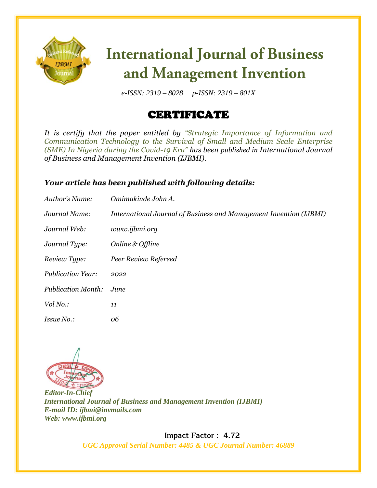

# **International Journal of Business** and Management Invention

*e-ISSN: 2319 – 8028 p-ISSN: 2319 – 801X*

### **CERTIFICATE**

*It is certify that the paper entitled by "Strategic Importance of Information and Communication Technology to the Survival of Small and Medium Scale Enterprise (SME) In Nigeria during the Covid-19 Era" has been published in International Journal of Business and Management Invention (IJBMI).*

#### *Your article has been published with following details:*

| Author's Name:            | Omimakinde John A.                                                 |
|---------------------------|--------------------------------------------------------------------|
| Journal Name:             | International Journal of Business and Management Invention (IJBMI) |
| Journal Web:              | www.ijbmi.org                                                      |
| Journal Type:             | Online & Offline                                                   |
| Review Type:              | Peer Review Refereed                                               |
| <b>Publication Year:</b>  | 2022                                                               |
| <b>Publication Month:</b> | June                                                               |
| Vol No.:                  | 11                                                                 |
| <i>Issue No.:</i>         | 06                                                                 |



*Editor-In-Chief International Journal of Business and Management Invention (IJBMI) E-mail ID: ijbmi@invmails.com Web: www.ijbmi.org*

 **Impact Factor : 4.72** 

*UGC Approval Serial Number: 4485 & UGC Journal Number: 46889*